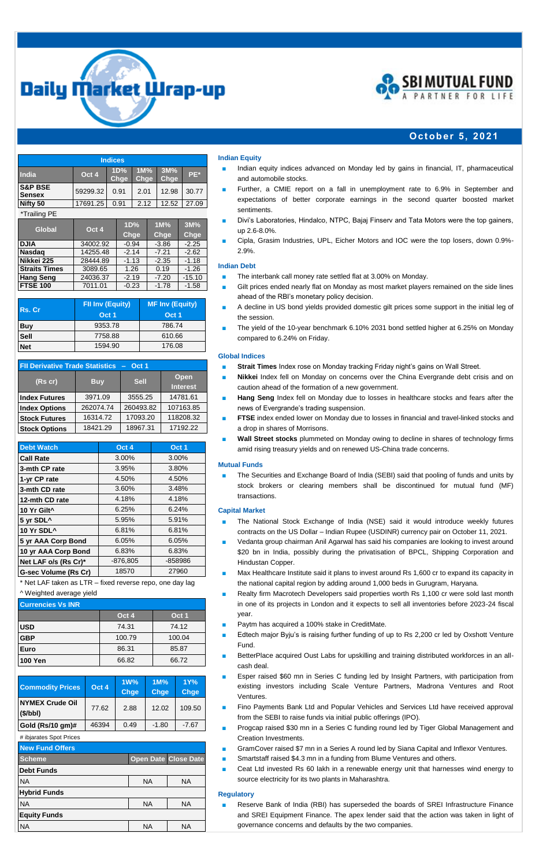



## **Oct ober 5, 20 21**

| <b>Indices</b>                      |          |             |             |             |       |
|-------------------------------------|----------|-------------|-------------|-------------|-------|
| India                               | Oct 4    | 1D%<br>Chge | 1M%<br>Chge | 3M%<br>Chge | PE*   |
| <b>S&amp;P BSE</b><br><b>Sensex</b> | 59299.32 | 0.91        | 2.01        | 12.98       | 30.77 |
| Nifty 50                            | 17691.25 | 0.91        | 2.12        | 12.52       | 27.09 |
| *Trailing PE                        |          |             |             |             |       |

| Global<br>Oct 4      |          | 1D%     | 1M%     | 3M%      |
|----------------------|----------|---------|---------|----------|
|                      | Chge     | Chge    | Chge    |          |
| <b>DJIA</b>          | 34002.92 | $-0.94$ | $-3.86$ | $-2.25$  |
| <b>Nasdag</b>        | 14255.48 | $-2.14$ | $-7.21$ | $-2.62$  |
| Nikkei 225           | 28444.89 | $-1.13$ | $-2.35$ | $-1.18$  |
| <b>Straits Times</b> | 3089.65  | 1.26    | 0.19    | $-1.26$  |
| <b>Hang Seng</b>     | 24036.37 | $-2.19$ | $-7.20$ | $-15.10$ |
| FTSE 100             | 7011.01  | $-0.23$ | $-1.78$ | $-1.58$  |

| Rs. Cr      | <b>FII Inv (Equity)</b> | <b>MF Inv (Equity)</b> |  |
|-------------|-------------------------|------------------------|--|
|             | Oct 1                   | Oct 1                  |  |
| Buy         | 9353.78                 | 786.74                 |  |
| <b>Sell</b> | 7758.88                 | 610.66                 |  |
| <b>Net</b>  | 1594.90                 | 176.08                 |  |

| FII Derivative Trade Statistics - Oct 1 |            |             |                         |  |
|-----------------------------------------|------------|-------------|-------------------------|--|
| $(Rs$ cr)                               | <b>Buy</b> | <b>Sell</b> | Open<br><b>Interest</b> |  |
| <b>Index Futures</b>                    | 3971.09    | 3555.25     | 14781.61                |  |
| <b>Index Options</b>                    | 262074.74  | 260493.82   | 107163.85               |  |
| <b>Stock Futures</b>                    | 16314.72   | 17093.20    | 118208.32               |  |
| <b>Stock Options</b>                    | 18421.29   | 18967.31    | 17192.22                |  |

| <b>Debt Watch</b>       | Oct 4      | Oct 1   |
|-------------------------|------------|---------|
| <b>Call Rate</b>        | $3.00\%$   | 3.00%   |
| 3-mth CP rate           | 3.95%      | 3.80%   |
| 1-yr CP rate            | 4.50%      | 4.50%   |
| 3-mth CD rate           | 3.60%      | 3.48%   |
| 12-mth CD rate          | 4.18%      | 4.18%   |
| 10 Yr Gilt <sup>^</sup> | 6.25%      | 6.24%   |
| 5 yr SDL^               | 5.95%      | 5.91%   |
| 10 Yr SDL^              | 6.81%      | 6.81%   |
| 5 yr AAA Corp Bond      | 6.05%      | 6.05%   |
| 10 yr AAA Corp Bond     | 6.83%      | 6.83%   |
| Net LAF o/s (Rs Cr)*    | $-876,805$ | -858986 |
| G-sec Volume (Rs Cr)    | 18570      | 27960   |

\* Net LAF taken as LTR – fixed reverse repo, one day lag

# ^ Weighted average yield

| <b>Currencies Vs INR</b> |        |        |  |  |
|--------------------------|--------|--------|--|--|
|                          | Oct 4  | Oct 1  |  |  |
| <b>USD</b>               | 74.31  | 74.12  |  |  |
| <b>GBP</b>               | 100.79 | 100.04 |  |  |
| Euro                     | 86.31  | 85.87  |  |  |
| <b>100 Yen</b>           | 66.82  | 66.72  |  |  |

| <b>Commodity Prices</b>           | Oct 4 | 1W%<br><b>Chge</b> | $1M\%$<br><b>Chge</b> | 1Y%<br><b>Chge</b> |
|-----------------------------------|-------|--------------------|-----------------------|--------------------|
| <b>NYMEX Crude Oil</b><br>(S/bbl) | 77.62 | 2.88               | 12.02                 | 109.50             |
| Gold (Rs/10 gm)#                  | 46394 | 0.49               | $-1.80$               | $-7.67$            |
| # ibjarates Spot Prices           |       |                    |                       |                    |
|                                   |       |                    |                       |                    |

| <b>New Fund Offers</b> |           |                             |
|------------------------|-----------|-----------------------------|
| <b>Scheme</b>          |           | <b>Open Date Close Date</b> |
| <b>Debt Funds</b>      |           |                             |
| <b>NA</b>              | <b>NA</b> | <b>NA</b>                   |
| <b>Hybrid Funds</b>    |           |                             |
| <b>NA</b>              | <b>NA</b> | <b>NA</b>                   |
| <b>Equity Funds</b>    |           |                             |
| <b>NA</b>              | <b>NA</b> | <b>NA</b>                   |

## **Indian Equity**

- **■** Indian equity indices advanced on Monday led by gains in financial, IT, pharmaceutical and automobile stocks.
- Further, a CMIE report on a fall in unemployment rate to 6.9% in September and expectations of better corporate earnings in the second quarter boosted market sentiments.
- Divi's Laboratories, Hindalco, NTPC, Bajaj Finserv and Tata Motors were the top gainers, up 2.6-8.0%.
- **■** Cipla, Grasim Industries, UPL, Eicher Motors and IOC were the top losers, down 0.9%- 2.9%.

#### **Indian Debt**

- The interbank call money rate settled flat at 3.00% on Monday.
- Gilt prices ended nearly flat on Monday as most market players remained on the side lines ahead of the RBI's monetary policy decision.
- **■** A decline in US bond yields provided domestic gilt prices some support in the initial leg of the session.
- The yield of the 10-year benchmark 6.10% 2031 bond settled higher at 6.25% on Monday compared to 6.24% on Friday.

## **Global Indices**

- **Strait Times** Index rose on Monday tracking Friday night's gains on Wall Street.
- **Nikkei** Index fell on Monday on concerns over the China Evergrande debt crisis and on caution ahead of the formation of a new government.
- **Hang Seng** Index fell on Monday due to losses in healthcare stocks and fears after the news of Evergrande's trading suspension.
- **FTSE** index ended lower on Monday due to losses in financial and travel-linked stocks and a drop in shares of Morrisons.
- Wall Street stocks plummeted on Monday owing to decline in shares of technology firms amid rising treasury yields and on renewed US-China trade concerns.

### **Mutual Funds**

The Securities and Exchange Board of India (SEBI) said that pooling of funds and units by stock brokers or clearing members shall be discontinued for mutual fund (MF) transactions.

## **Capital Market**

- The National Stock Exchange of India (NSE) said it would introduce weekly futures contracts on the US Dollar – Indian Rupee (USDINR) currency pair on October 11, 2021.
- **■** Vedanta group chairman Anil Agarwal has said his companies are looking to invest around \$20 bn in India, possibly during the privatisation of BPCL, Shipping Corporation and Hindustan Copper.
- Max Healthcare Institute said it plans to invest around Rs 1,600 cr to expand its capacity in the national capital region by adding around 1,000 beds in Gurugram, Haryana.
- **■** Realty firm Macrotech Developers said properties worth Rs 1,100 cr were sold last month in one of its projects in London and it expects to sell all inventories before 2023-24 fiscal year.
- **■** Paytm has acquired a 100% stake in CreditMate.
- Edtech major Byju's is raising further funding of up to Rs 2,200 cr led by Oxshott Venture Fund.
- BetterPlace acquired Oust Labs for upskilling and training distributed workforces in an allcash deal.
- Esper raised \$60 mn in Series C funding led by Insight Partners, with participation from existing investors including Scale Venture Partners, Madrona Ventures and Root Ventures.
- Fino Payments Bank Ltd and Popular Vehicles and Services Ltd have received approval from the SEBI to raise funds via initial public offerings (IPO).
- Progcap raised \$30 mn in a Series C funding round led by Tiger Global Management and Creation Investments.
- GramCover raised \$7 mn in a Series A round led by Siana Capital and Inflexor Ventures.
- Smartstaff raised \$4.3 mn in a funding from Blume Ventures and others.
- Ceat Ltd invested Rs 60 lakh in a renewable energy unit that harnesses wind energy to source electricity for its two plants in Maharashtra.

#### **Regulatory**

Reserve Bank of India (RBI) has superseded the boards of SREI Infrastructure Finance and SREI Equipment Finance. The apex lender said that the action was taken in light of governance concerns and defaults by the two companies.